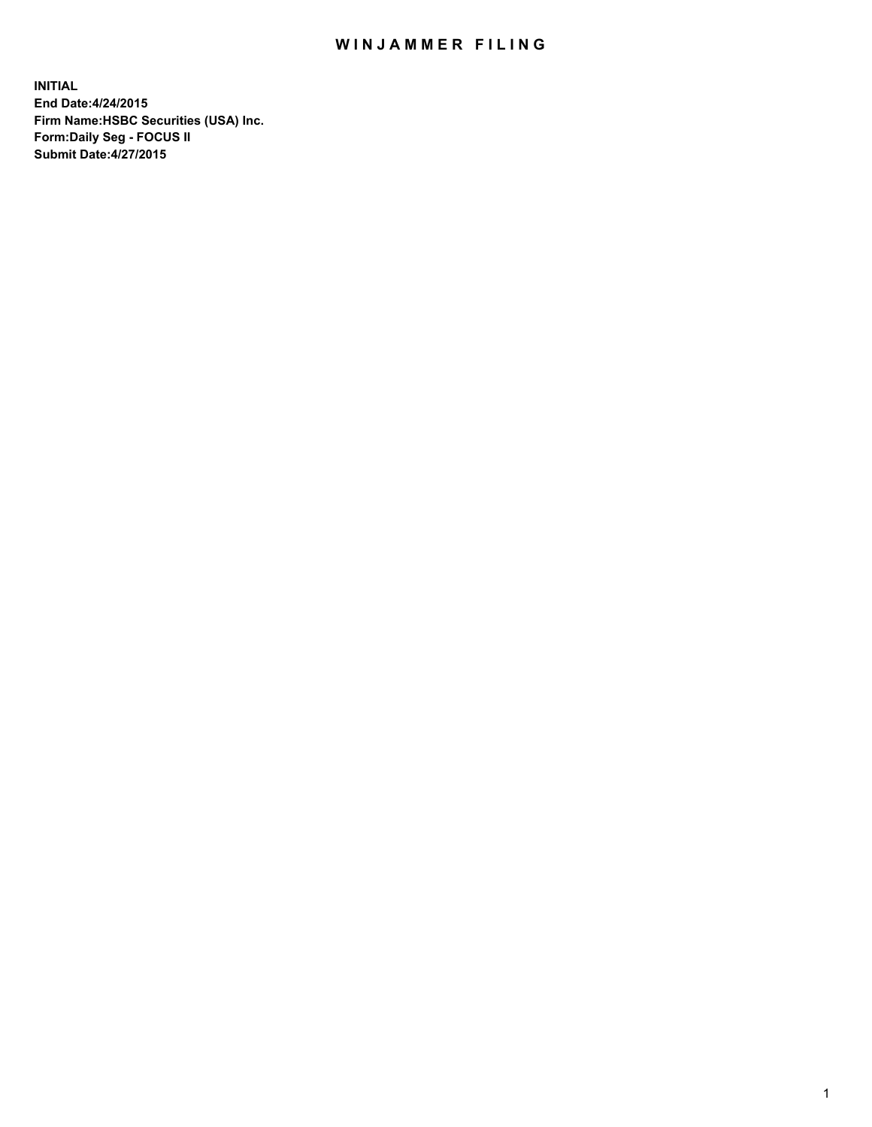## WIN JAMMER FILING

**INITIAL End Date:4/24/2015 Firm Name:HSBC Securities (USA) Inc. Form:Daily Seg - FOCUS II Submit Date:4/27/2015**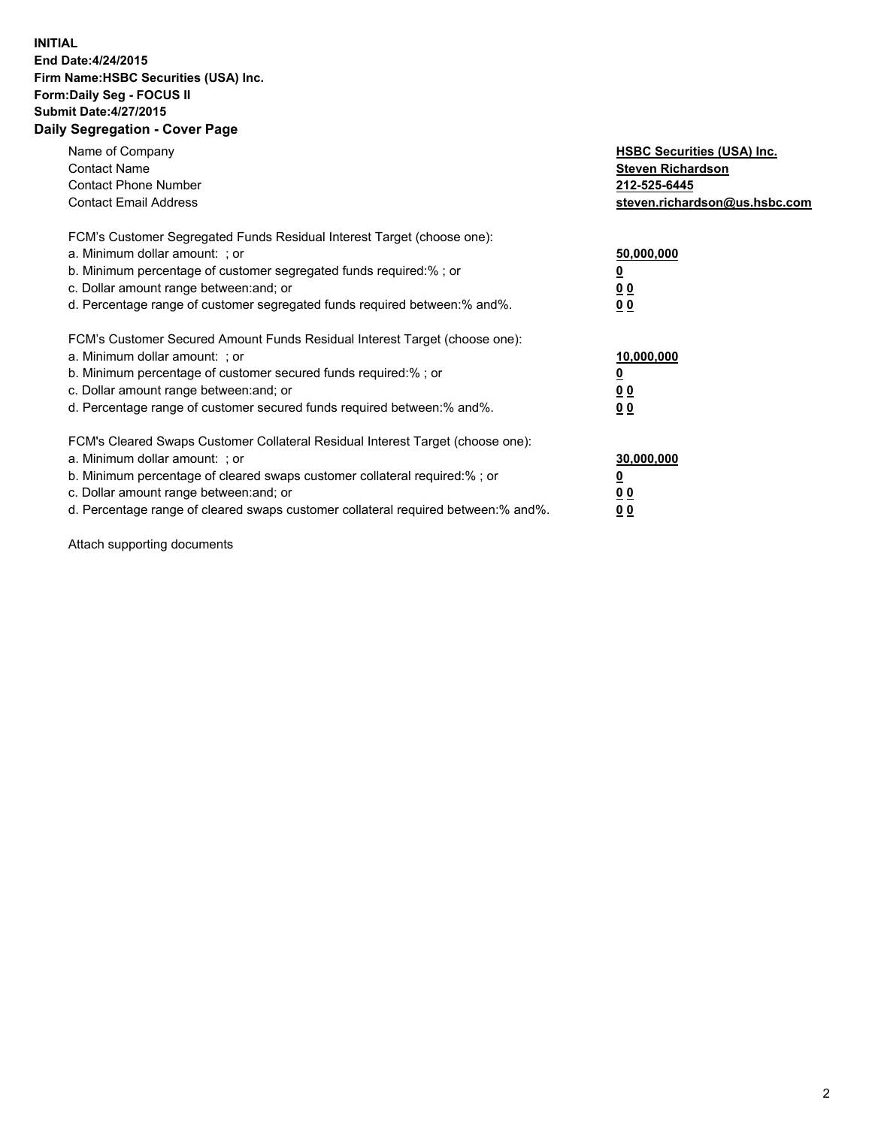## **INITIAL End Date:4/24/2015 Firm Name:HSBC Securities (USA) Inc. Form:Daily Seg - FOCUS II Submit Date:4/27/2015 Daily Segregation - Cover Page**

| Name of Company<br><b>Contact Name</b><br><b>Contact Phone Number</b><br><b>Contact Email Address</b>                                                                                                                                                                                                                          | <b>HSBC Securities (USA) Inc.</b><br><b>Steven Richardson</b><br>212-525-6445<br>steven.richardson@us.hsbc.com |
|--------------------------------------------------------------------------------------------------------------------------------------------------------------------------------------------------------------------------------------------------------------------------------------------------------------------------------|----------------------------------------------------------------------------------------------------------------|
| FCM's Customer Segregated Funds Residual Interest Target (choose one):<br>a. Minimum dollar amount: ; or<br>b. Minimum percentage of customer segregated funds required:%; or<br>c. Dollar amount range between: and; or<br>d. Percentage range of customer segregated funds required between: % and %.                        | 50,000,000<br>0 <sub>0</sub><br>0 <sub>0</sub>                                                                 |
| FCM's Customer Secured Amount Funds Residual Interest Target (choose one):<br>a. Minimum dollar amount: ; or<br>b. Minimum percentage of customer secured funds required:%; or<br>c. Dollar amount range between: and; or<br>d. Percentage range of customer secured funds required between:% and%.                            | 10,000,000<br><u>0</u><br>0 <sub>0</sub><br>0 <sub>0</sub>                                                     |
| FCM's Cleared Swaps Customer Collateral Residual Interest Target (choose one):<br>a. Minimum dollar amount: ; or<br>b. Minimum percentage of cleared swaps customer collateral required:% ; or<br>c. Dollar amount range between: and; or<br>d. Percentage range of cleared swaps customer collateral required between:% and%. | 30,000,000<br>00<br><u>00</u>                                                                                  |

Attach supporting documents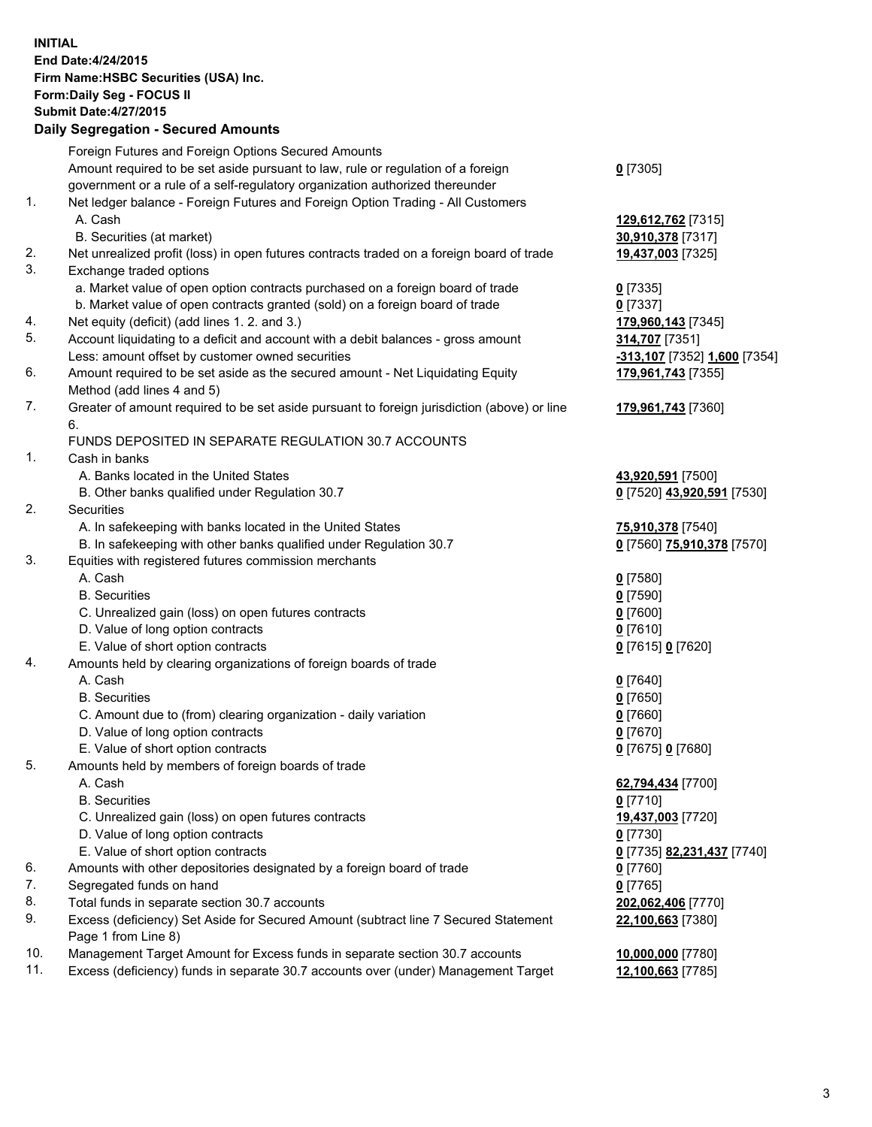**INITIAL End Date:4/24/2015 Firm Name:HSBC Securities (USA) Inc. Form:Daily Seg - FOCUS II Submit Date:4/27/2015 Daily Segregation - Secured Amounts**

Foreign Futures and Foreign Options Secured Amounts Amount required to be set aside pursuant to law, rule or regulation of a foreign government or a rule of a self-regulatory organization authorized thereunder **0** [7305] 1. Net ledger balance - Foreign Futures and Foreign Option Trading - All Customers A. Cash **129,612,762** [7315] B. Securities (at market) **30,910,378** [7317] 2. Net unrealized profit (loss) in open futures contracts traded on a foreign board of trade **19,437,003** [7325] 3. Exchange traded options a. Market value of open option contracts purchased on a foreign board of trade **0** [7335] b. Market value of open contracts granted (sold) on a foreign board of trade **0** [7337] 4. Net equity (deficit) (add lines 1. 2. and 3.) **179,960,143** [7345] 5. Account liquidating to a deficit and account with a debit balances - gross amount **314,707** [7351] Less: amount offset by customer owned securities **-313,107** [7352] **1,600** [7354] 6. Amount required to be set aside as the secured amount - Net Liquidating Equity Method (add lines 4 and 5) **179,961,743** [7355] 7. Greater of amount required to be set aside pursuant to foreign jurisdiction (above) or line 6. **179,961,743** [7360] FUNDS DEPOSITED IN SEPARATE REGULATION 30.7 ACCOUNTS 1. Cash in banks A. Banks located in the United States **43,920,591** [7500] B. Other banks qualified under Regulation 30.7 **0** [7520] **43,920,591** [7530] 2. Securities A. In safekeeping with banks located in the United States **75,910,378** [7540] B. In safekeeping with other banks qualified under Regulation 30.7 **0** [7560] **75,910,378** [7570] 3. Equities with registered futures commission merchants A. Cash **0** [7580] B. Securities **0** [7590] C. Unrealized gain (loss) on open futures contracts **0** [7600] D. Value of long option contracts **0** [7610] E. Value of short option contracts **0** [7615] **0** [7620] 4. Amounts held by clearing organizations of foreign boards of trade A. Cash **0** [7640] B. Securities **0** [7650] C. Amount due to (from) clearing organization - daily variation **0** [7660] D. Value of long option contracts **0** [7670] E. Value of short option contracts **0** [7675] **0** [7680] 5. Amounts held by members of foreign boards of trade A. Cash **62,794,434** [7700] B. Securities **0** [7710] C. Unrealized gain (loss) on open futures contracts **19,437,003** [7720] D. Value of long option contracts **0** [7730] E. Value of short option contracts **0** [7735] **82,231,437** [7740] 6. Amounts with other depositories designated by a foreign board of trade **0** [7760] 7. Segregated funds on hand **0** [7765] 8. Total funds in separate section 30.7 accounts **202,062,406** [7770] 9. Excess (deficiency) Set Aside for Secured Amount (subtract line 7 Secured Statement Page 1 from Line 8) **22,100,663** [7380] 10. Management Target Amount for Excess funds in separate section 30.7 accounts **10,000,000** [7780] 11. Excess (deficiency) funds in separate 30.7 accounts over (under) Management Target **12,100,663** [7785]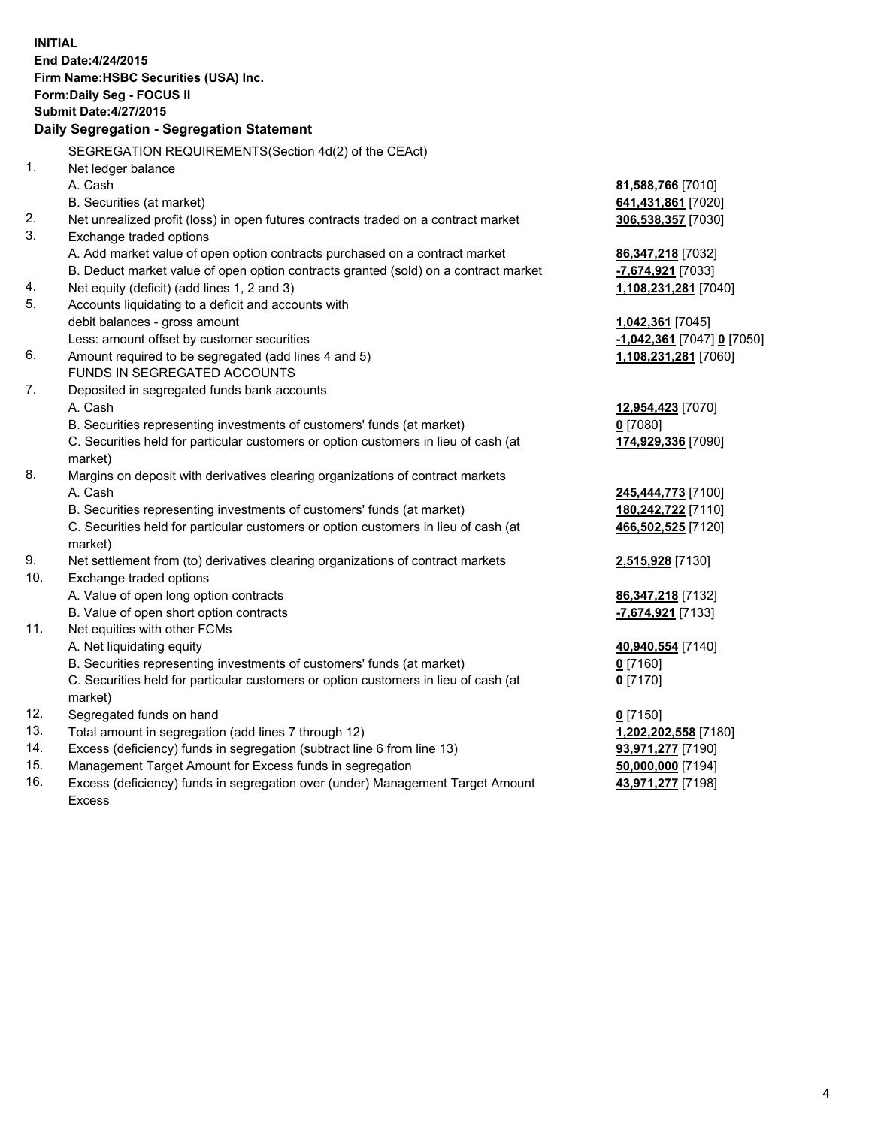| <b>INITIAL</b> | End Date: 4/24/2015<br>Firm Name: HSBC Securities (USA) Inc.<br>Form: Daily Seg - FOCUS II<br><b>Submit Date: 4/27/2015</b><br>Daily Segregation - Segregation Statement |                            |
|----------------|--------------------------------------------------------------------------------------------------------------------------------------------------------------------------|----------------------------|
|                |                                                                                                                                                                          |                            |
| 1.             | SEGREGATION REQUIREMENTS(Section 4d(2) of the CEAct)<br>Net ledger balance                                                                                               |                            |
|                | A. Cash                                                                                                                                                                  | 81,588,766 [7010]          |
|                | B. Securities (at market)                                                                                                                                                | 641,431,861 [7020]         |
| 2.             | Net unrealized profit (loss) in open futures contracts traded on a contract market                                                                                       | 306,538,357 [7030]         |
| 3.             | Exchange traded options                                                                                                                                                  |                            |
|                | A. Add market value of open option contracts purchased on a contract market                                                                                              | 86, 347, 218 [7032]        |
|                | B. Deduct market value of open option contracts granted (sold) on a contract market                                                                                      | -7,674,921 [7033]          |
| 4.             | Net equity (deficit) (add lines 1, 2 and 3)                                                                                                                              | 1,108,231,281 [7040]       |
| 5.             | Accounts liquidating to a deficit and accounts with                                                                                                                      |                            |
|                | debit balances - gross amount                                                                                                                                            | 1,042,361 [7045]           |
|                | Less: amount offset by customer securities                                                                                                                               | -1,042,361 [7047] 0 [7050] |
| 6.             | Amount required to be segregated (add lines 4 and 5)                                                                                                                     | 1,108,231,281 [7060]       |
|                | FUNDS IN SEGREGATED ACCOUNTS                                                                                                                                             |                            |
| 7.             | Deposited in segregated funds bank accounts                                                                                                                              |                            |
|                | A. Cash                                                                                                                                                                  | 12,954,423 [7070]          |
|                | B. Securities representing investments of customers' funds (at market)                                                                                                   | $0$ [7080]                 |
|                | C. Securities held for particular customers or option customers in lieu of cash (at<br>market)                                                                           | 174,929,336 [7090]         |
| 8.             | Margins on deposit with derivatives clearing organizations of contract markets                                                                                           |                            |
|                | A. Cash                                                                                                                                                                  | 245,444,773 [7100]         |
|                | B. Securities representing investments of customers' funds (at market)                                                                                                   | 180,242,722 [7110]         |
|                | C. Securities held for particular customers or option customers in lieu of cash (at<br>market)                                                                           | 466,502,525 [7120]         |
| 9.             | Net settlement from (to) derivatives clearing organizations of contract markets                                                                                          | 2,515,928 [7130]           |
| 10.            | Exchange traded options                                                                                                                                                  |                            |
|                | A. Value of open long option contracts                                                                                                                                   | 86, 347, 218 [7132]        |
|                | B. Value of open short option contracts                                                                                                                                  | -7,674,921 [7133]          |
| 11.            | Net equities with other FCMs                                                                                                                                             |                            |
|                | A. Net liquidating equity                                                                                                                                                | 40,940,554 [7140]          |
|                | B. Securities representing investments of customers' funds (at market)                                                                                                   | $0$ [7160]                 |
|                | C. Securities held for particular customers or option customers in lieu of cash (at<br>market)                                                                           | $0$ [7170]                 |
| 12.            | Segregated funds on hand                                                                                                                                                 | $0$ [7150]                 |
| 13.            | Total amount in segregation (add lines 7 through 12)                                                                                                                     | 1,202,202,558 [7180]       |
| 14.            | Excess (deficiency) funds in segregation (subtract line 6 from line 13)                                                                                                  | 93,971,277 [7190]          |
| 15.            | Management Target Amount for Excess funds in segregation                                                                                                                 | 50,000,000 [7194]          |
| 16.            | Excess (deficiency) funds in segregation over (under) Management Target Amount<br><b>Excess</b>                                                                          | 43,971,277 [7198]          |